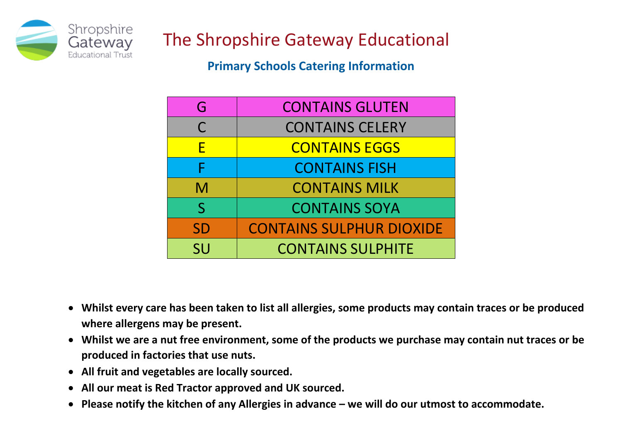

The Shropshire Gateway Educational

**Primary Schools Catering Information** 

| G            | <b>CONTAINS GLUTEN</b>          |
|--------------|---------------------------------|
| $\mathsf{C}$ | <b>CONTAINS CELERY</b>          |
| F            | <b>CONTAINS EGGS</b>            |
| F            | <b>CONTAINS FISH</b>            |
| M            | <b>CONTAINS MILK</b>            |
| $\mathsf{S}$ | <b>CONTAINS SOYA</b>            |
| <b>SD</b>    | <b>CONTAINS SULPHUR DIOXIDE</b> |
| <b>SU</b>    | <b>CONTAINS SULPHITE</b>        |

- **Whilst every care has been taken to list all allergies, some products may contain traces or be produced where allergens may be present.**
- **Whilst we are a nut free environment, some of the products we purchase may contain nut traces or be produced in factories that use nuts.**
- **All fruit and vegetables are locally sourced.**
- **All our meat is Red Tractor approved and UK sourced.**
- **Please notify the kitchen of any Allergies in advance – we will do our utmost to accommodate.**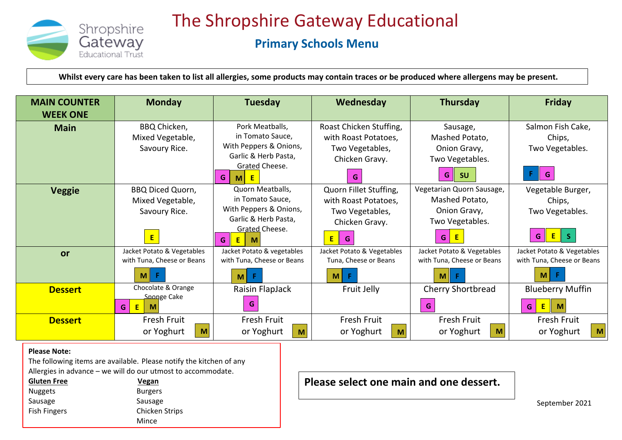

The Shropshire Gateway Educational

## **Primary Schools Menu**

**Whilst every care has been taken to list all allergies, some products may contain traces or be produced where allergens may be present.**

| <b>MAIN COUNTER</b><br><b>WEEK ONE</b> | <b>Monday</b>              | <b>Tuesday</b>                        | Wednesday                  | Thursday                   | <b>Friday</b>              |
|----------------------------------------|----------------------------|---------------------------------------|----------------------------|----------------------------|----------------------------|
| <b>Main</b>                            | BBQ Chicken,               | Pork Meatballs,                       | Roast Chicken Stuffing,    | Sausage,                   | Salmon Fish Cake,          |
|                                        | Mixed Vegetable,           | in Tomato Sauce.                      | with Roast Potatoes,       | Mashed Potato,             | Chips,                     |
|                                        | Savoury Rice.              | With Peppers & Onions,                | Two Vegetables,            | Onion Gravy,               | Two Vegetables.            |
|                                        |                            | Garlic & Herb Pasta,                  | Chicken Gravy.             | Two Vegetables.            |                            |
|                                        |                            | Grated Cheese.<br>G<br>M <sub>l</sub> |                            | G<br><b>SU</b>             | G                          |
| <b>Veggie</b>                          | <b>BBQ Diced Quorn,</b>    | Quorn Meatballs,                      | Quorn Fillet Stuffing,     | Vegetarian Quorn Sausage,  | Vegetable Burger,          |
|                                        | Mixed Vegetable,           | in Tomato Sauce,                      | with Roast Potatoes,       | Mashed Potato,             | Chips,                     |
|                                        | Savoury Rice.              | With Peppers & Onions,                | Two Vegetables,            | Onion Gravy,               | Two Vegetables.            |
|                                        |                            | Garlic & Herb Pasta,                  | Chicken Gravy.             | Two Vegetables.            |                            |
|                                        | E                          | Grated Cheese.<br>G.<br>$E$  <br>M    | E                          | G.                         | G                          |
| or                                     | Jacket Potato & Vegetables | Jacket Potato & vegetables            | Jacket Potato & Vegetables | Jacket Potato & Vegetables | Jacket Potato & Vegetables |
|                                        | with Tuna, Cheese or Beans | with Tuna, Cheese or Beans            | Tuna, Cheese or Beans      | with Tuna, Cheese or Beans | with Tuna, Cheese or Beans |
|                                        | F.<br>M                    | F.<br>M                               | F.<br>$\mathsf{M}$         | F<br>M                     | M                          |
| <b>Dessert</b>                         | Chocolate & Orange         | Raisin FlapJack                       | Fruit Jelly                | <b>Cherry Shortbread</b>   | <b>Blueberry Muffin</b>    |
|                                        | Sponge Cake<br>E<br>G<br>M | G                                     |                            | G.                         | E<br>G                     |
| <b>Dessert</b>                         | Fresh Fruit                | Fresh Fruit                           | Fresh Fruit                | <b>Fresh Fruit</b>         | Fresh Fruit                |
|                                        | or Yoghurt<br>M            | or Yoghurt<br>$\mathsf{M}$            | or Yoghurt<br>M            | or Yoghurt<br>M            | or Yoghurt<br>M            |

## **Please Note:**

 The following items are available. Please notify the kitchen of any Allergies in advance – we will do our utmost to accommodate.

| <b>Gluten Free</b>  | Vegan                 |
|---------------------|-----------------------|
| <b>Nuggets</b>      | <b>Burgers</b>        |
| Sausage             | Sausage               |
| <b>Fish Fingers</b> | <b>Chicken Strips</b> |
|                     | Mince                 |

**Please select one main and one dessert.**

September 2021